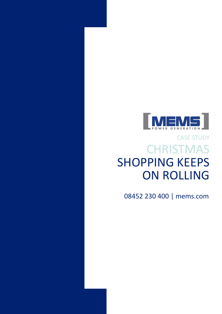

## **CHRISTMAS** SHOPPING KEEPS ON ROLLING CASE STUDY

08452 230 400 | mems.com